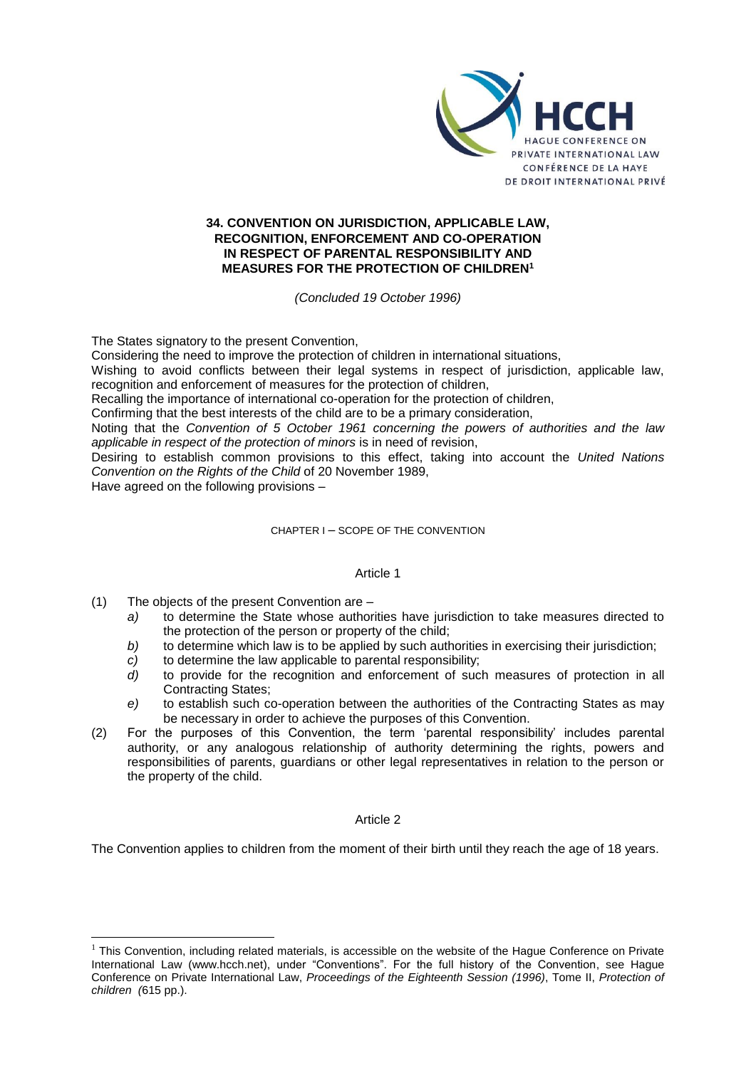

# **34. CONVENTION ON JURISDICTION, APPLICABLE LAW, RECOGNITION, ENFORCEMENT AND CO-OPERATION IN RESPECT OF PARENTAL RESPONSIBILITY AND MEASURES FOR THE PROTECTION OF CHILDREN<sup>1</sup>**

*(Concluded 19 October 1996)*

The States signatory to the present Convention,

Considering the need to improve the protection of children in international situations,

Wishing to avoid conflicts between their legal systems in respect of jurisdiction, applicable law, recognition and enforcement of measures for the protection of children.

Recalling the importance of international co-operation for the protection of children,

Confirming that the best interests of the child are to be a primary consideration,

Noting that the *Convention of 5 October 1961 concerning the powers of authorities and the law applicable in respect of the protection of minors* is in need of revision,

Desiring to establish common provisions to this effect, taking into account the *United Nations Convention on the Rights of the Child* of 20 November 1989,

Have agreed on the following provisions –

 $\overline{a}$ 

CHAPTER I – SCOPE OF THE CONVENTION

## Article 1

- (1) The objects of the present Convention are
	- *a)* to determine the State whose authorities have jurisdiction to take measures directed to the protection of the person or property of the child;
	- *b)* to determine which law is to be applied by such authorities in exercising their jurisdiction;
	- *c*) to determine the law applicable to parental responsibility;<br>*d*) to provide for the recognition and enforcement of such
	- *d)* to provide for the recognition and enforcement of such measures of protection in all Contracting States;
	- *e)* to establish such co-operation between the authorities of the Contracting States as may be necessary in order to achieve the purposes of this Convention.
- (2) For the purposes of this Convention, the term 'parental responsibility' includes parental authority, or any analogous relationship of authority determining the rights, powers and responsibilities of parents, guardians or other legal representatives in relation to the person or the property of the child.

## Article 2

The Convention applies to children from the moment of their birth until they reach the age of 18 years.

 $1$  This Convention, including related materials, is accessible on the website of the Hague Conference on Private International Law (www.hcch.net), under "Conventions". For the full history of the Convention, see Hague Conference on Private International Law, *Proceedings of the Eighteenth Session (1996)*, Tome II, *Protection of children (*615 pp.).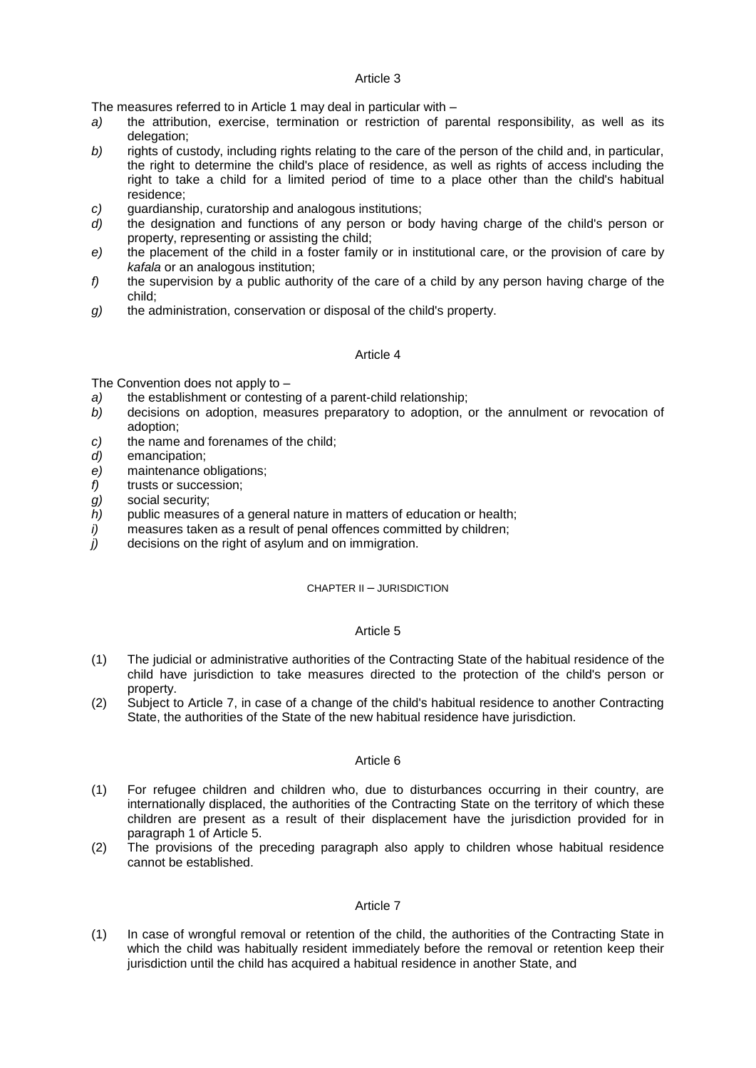The measures referred to in Article 1 may deal in particular with –

- *a)* the attribution, exercise, termination or restriction of parental responsibility, as well as its delegation:
- *b)* rights of custody, including rights relating to the care of the person of the child and, in particular, the right to determine the child's place of residence, as well as rights of access including the right to take a child for a limited period of time to a place other than the child's habitual residence;
- *c)* guardianship, curatorship and analogous institutions;
- *d)* the designation and functions of any person or body having charge of the child's person or property, representing or assisting the child;
- *e)* the placement of the child in a foster family or in institutional care, or the provision of care by *kafala* or an analogous institution;
- *f)* the supervision by a public authority of the care of a child by any person having charge of the child;
- *g)* the administration, conservation or disposal of the child's property.

# Article 4

The Convention does not apply to –

- *a)* the establishment or contesting of a parent-child relationship;
- *b)* decisions on adoption, measures preparatory to adoption, or the annulment or revocation of adoption;
- *c)* the name and forenames of the child;
- *d)* emancipation;
- *e)* maintenance obligations;
- *f)* trusts or succession;
- *g)* social security;
- *h)* public measures of a general nature in matters of education or health;
- *i*) measures taken as a result of penal offences committed by children;<br>*i*) decisions on the right of asylum and on immigration.
- decisions on the right of asylum and on immigration.

## CHAPTER II – JURISDICTION

# Article 5

- (1) The judicial or administrative authorities of the Contracting State of the habitual residence of the child have jurisdiction to take measures directed to the protection of the child's person or property.
- (2) Subject to Article 7, in case of a change of the child's habitual residence to another Contracting State, the authorities of the State of the new habitual residence have jurisdiction.

# Article 6

- (1) For refugee children and children who, due to disturbances occurring in their country, are internationally displaced, the authorities of the Contracting State on the territory of which these children are present as a result of their displacement have the jurisdiction provided for in paragraph 1 of Article 5.
- (2) The provisions of the preceding paragraph also apply to children whose habitual residence cannot be established.

# Article 7

(1) In case of wrongful removal or retention of the child, the authorities of the Contracting State in which the child was habitually resident immediately before the removal or retention keep their jurisdiction until the child has acquired a habitual residence in another State, and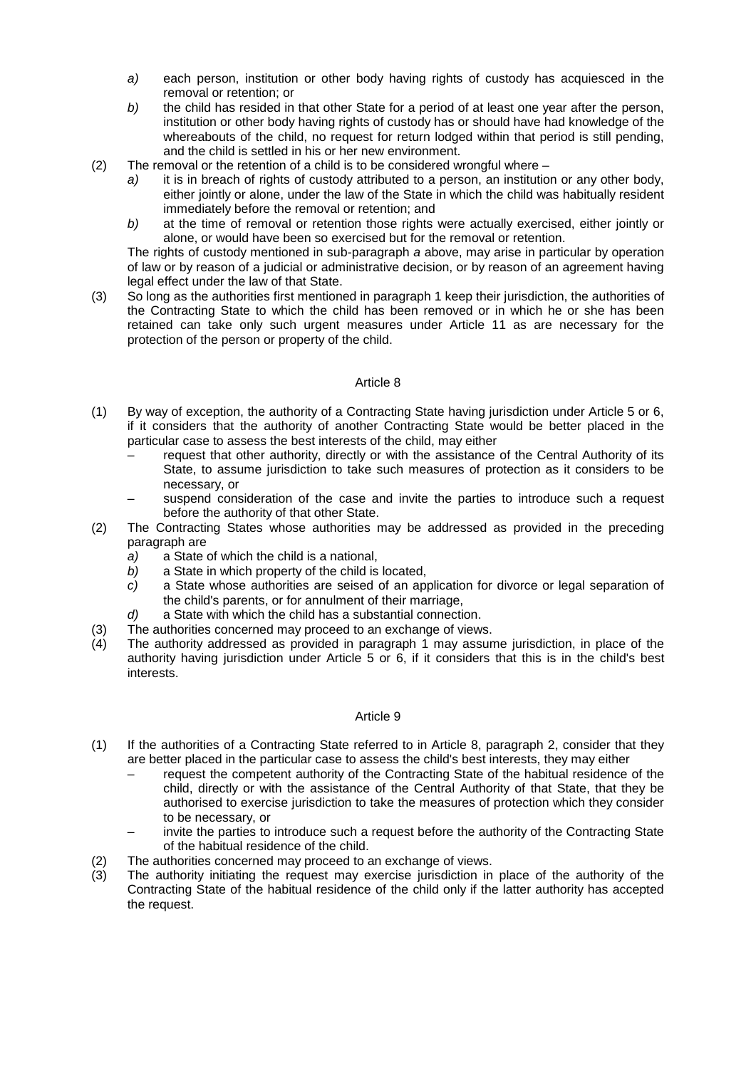- *a)* each person, institution or other body having rights of custody has acquiesced in the removal or retention; or
- *b)* the child has resided in that other State for a period of at least one year after the person, institution or other body having rights of custody has or should have had knowledge of the whereabouts of the child, no request for return lodged within that period is still pending, and the child is settled in his or her new environment.
- (2) The removal or the retention of a child is to be considered wrongful where  $$ 
	- *a)* it is in breach of rights of custody attributed to a person, an institution or any other body, either jointly or alone, under the law of the State in which the child was habitually resident immediately before the removal or retention; and
	- *b)* at the time of removal or retention those rights were actually exercised, either jointly or alone, or would have been so exercised but for the removal or retention.

The rights of custody mentioned in sub-paragraph *a* above, may arise in particular by operation of law or by reason of a judicial or administrative decision, or by reason of an agreement having legal effect under the law of that State.

(3) So long as the authorities first mentioned in paragraph 1 keep their jurisdiction, the authorities of the Contracting State to which the child has been removed or in which he or she has been retained can take only such urgent measures under Article 11 as are necessary for the protection of the person or property of the child.

## Article 8

- (1) By way of exception, the authority of a Contracting State having jurisdiction under Article 5 or 6, if it considers that the authority of another Contracting State would be better placed in the particular case to assess the best interests of the child, may either
	- request that other authority, directly or with the assistance of the Central Authority of its State, to assume jurisdiction to take such measures of protection as it considers to be necessary, or
	- suspend consideration of the case and invite the parties to introduce such a request before the authority of that other State.
- (2) The Contracting States whose authorities may be addressed as provided in the preceding paragraph are
	- *a)* a State of which the child is a national,
	- *b)* a State in which property of the child is located,
	- *c)* a State whose authorities are seised of an application for divorce or legal separation of the child's parents, or for annulment of their marriage,
	- *d)* a State with which the child has a substantial connection.
- (3) The authorities concerned may proceed to an exchange of views.
- (4) The authority addressed as provided in paragraph 1 may assume jurisdiction, in place of the authority having jurisdiction under Article 5 or 6, if it considers that this is in the child's best interests.

- (1) If the authorities of a Contracting State referred to in Article 8, paragraph 2, consider that they are better placed in the particular case to assess the child's best interests, they may either
	- request the competent authority of the Contracting State of the habitual residence of the child, directly or with the assistance of the Central Authority of that State, that they be authorised to exercise jurisdiction to take the measures of protection which they consider to be necessary, or
	- invite the parties to introduce such a request before the authority of the Contracting State of the habitual residence of the child.
- (2) The authorities concerned may proceed to an exchange of views.
- (3) The authority initiating the request may exercise jurisdiction in place of the authority of the Contracting State of the habitual residence of the child only if the latter authority has accepted the request.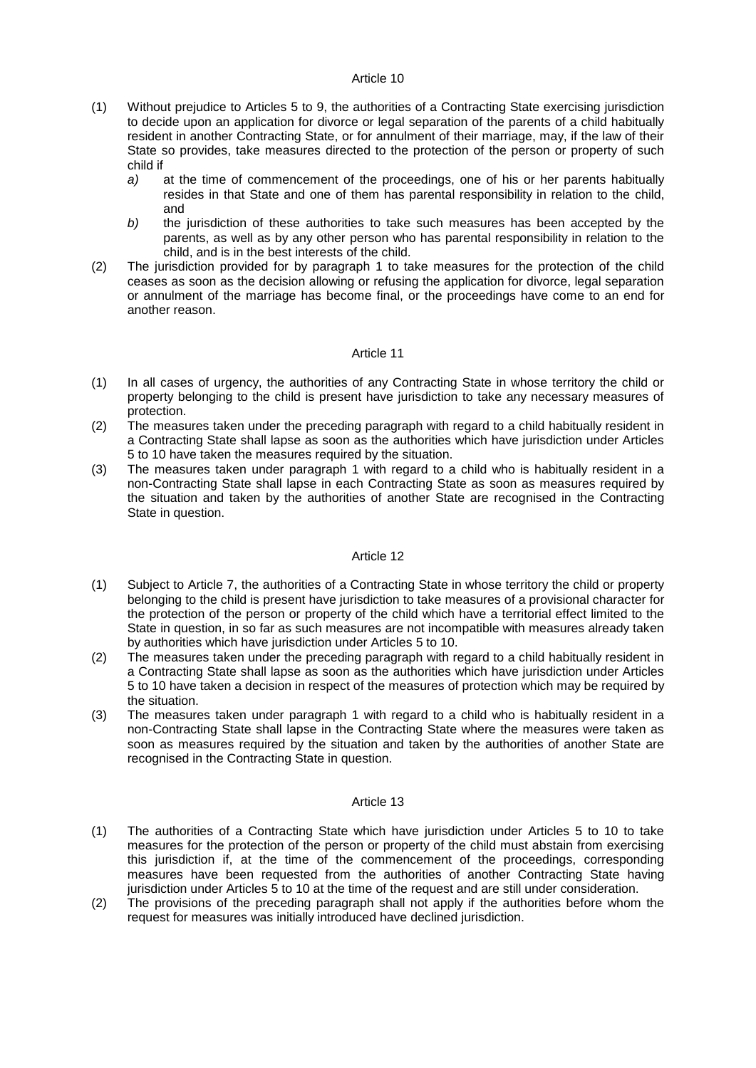- (1) Without prejudice to Articles 5 to 9, the authorities of a Contracting State exercising jurisdiction to decide upon an application for divorce or legal separation of the parents of a child habitually resident in another Contracting State, or for annulment of their marriage, may, if the law of their State so provides, take measures directed to the protection of the person or property of such child if
	- *a)* at the time of commencement of the proceedings, one of his or her parents habitually resides in that State and one of them has parental responsibility in relation to the child, and
	- *b)* the jurisdiction of these authorities to take such measures has been accepted by the parents, as well as by any other person who has parental responsibility in relation to the child, and is in the best interests of the child.
- (2) The jurisdiction provided for by paragraph 1 to take measures for the protection of the child ceases as soon as the decision allowing or refusing the application for divorce, legal separation or annulment of the marriage has become final, or the proceedings have come to an end for another reason.

### Article 11

- (1) In all cases of urgency, the authorities of any Contracting State in whose territory the child or property belonging to the child is present have jurisdiction to take any necessary measures of protection.
- (2) The measures taken under the preceding paragraph with regard to a child habitually resident in a Contracting State shall lapse as soon as the authorities which have jurisdiction under Articles 5 to 10 have taken the measures required by the situation.
- (3) The measures taken under paragraph 1 with regard to a child who is habitually resident in a non-Contracting State shall lapse in each Contracting State as soon as measures required by the situation and taken by the authorities of another State are recognised in the Contracting State in question.

## Article 12

- (1) Subject to Article 7, the authorities of a Contracting State in whose territory the child or property belonging to the child is present have jurisdiction to take measures of a provisional character for the protection of the person or property of the child which have a territorial effect limited to the State in question, in so far as such measures are not incompatible with measures already taken by authorities which have jurisdiction under Articles 5 to 10.
- (2) The measures taken under the preceding paragraph with regard to a child habitually resident in a Contracting State shall lapse as soon as the authorities which have jurisdiction under Articles 5 to 10 have taken a decision in respect of the measures of protection which may be required by the situation.
- (3) The measures taken under paragraph 1 with regard to a child who is habitually resident in a non-Contracting State shall lapse in the Contracting State where the measures were taken as soon as measures required by the situation and taken by the authorities of another State are recognised in the Contracting State in question.

- (1) The authorities of a Contracting State which have jurisdiction under Articles 5 to 10 to take measures for the protection of the person or property of the child must abstain from exercising this jurisdiction if, at the time of the commencement of the proceedings, corresponding measures have been requested from the authorities of another Contracting State having jurisdiction under Articles 5 to 10 at the time of the request and are still under consideration.
- (2) The provisions of the preceding paragraph shall not apply if the authorities before whom the request for measures was initially introduced have declined jurisdiction.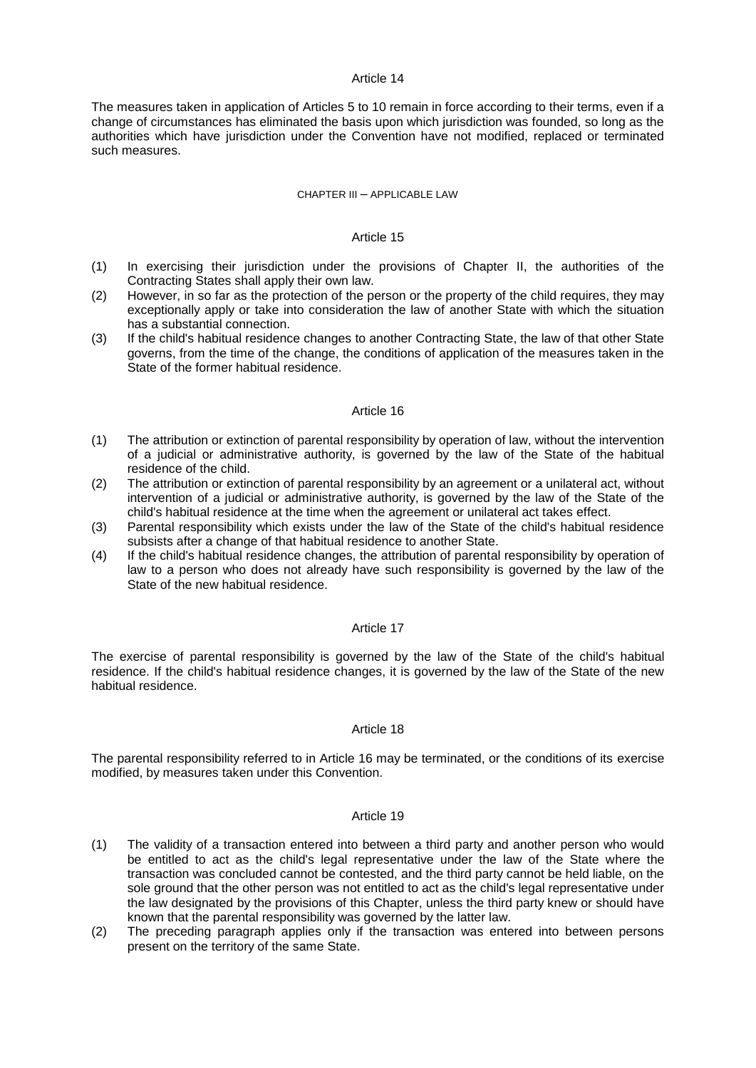The measures taken in application of Articles 5 to 10 remain in force according to their terms, even if a change of circumstances has eliminated the basis upon which jurisdiction was founded, so long as the authorities which have jurisdiction under the Convention have not modified, replaced or terminated such measures.

#### CHAPTER III – APPLICABLE LAW

## Article 15

- (1) In exercising their jurisdiction under the provisions of Chapter II, the authorities of the Contracting States shall apply their own law.
- (2) However, in so far as the protection of the person or the property of the child requires, they may exceptionally apply or take into consideration the law of another State with which the situation has a substantial connection.
- (3) If the child's habitual residence changes to another Contracting State, the law of that other State governs, from the time of the change, the conditions of application of the measures taken in the State of the former habitual residence.

## Article 16

- (1) The attribution or extinction of parental responsibility by operation of law, without the intervention of a judicial or administrative authority, is governed by the law of the State of the habitual residence of the child.
- (2) The attribution or extinction of parental responsibility by an agreement or a unilateral act, without intervention of a judicial or administrative authority, is governed by the law of the State of the child's habitual residence at the time when the agreement or unilateral act takes effect.
- (3) Parental responsibility which exists under the law of the State of the child's habitual residence subsists after a change of that habitual residence to another State.
- (4) If the child's habitual residence changes, the attribution of parental responsibility by operation of law to a person who does not already have such responsibility is governed by the law of the State of the new habitual residence.

## Article 17

The exercise of parental responsibility is governed by the law of the State of the child's habitual residence. If the child's habitual residence changes, it is governed by the law of the State of the new habitual residence.

## Article 18

The parental responsibility referred to in Article 16 may be terminated, or the conditions of its exercise modified, by measures taken under this Convention.

- (1) The validity of a transaction entered into between a third party and another person who would be entitled to act as the child's legal representative under the law of the State where the transaction was concluded cannot be contested, and the third party cannot be held liable, on the sole ground that the other person was not entitled to act as the child's legal representative under the law designated by the provisions of this Chapter, unless the third party knew or should have known that the parental responsibility was governed by the latter law.
- (2) The preceding paragraph applies only if the transaction was entered into between persons present on the territory of the same State.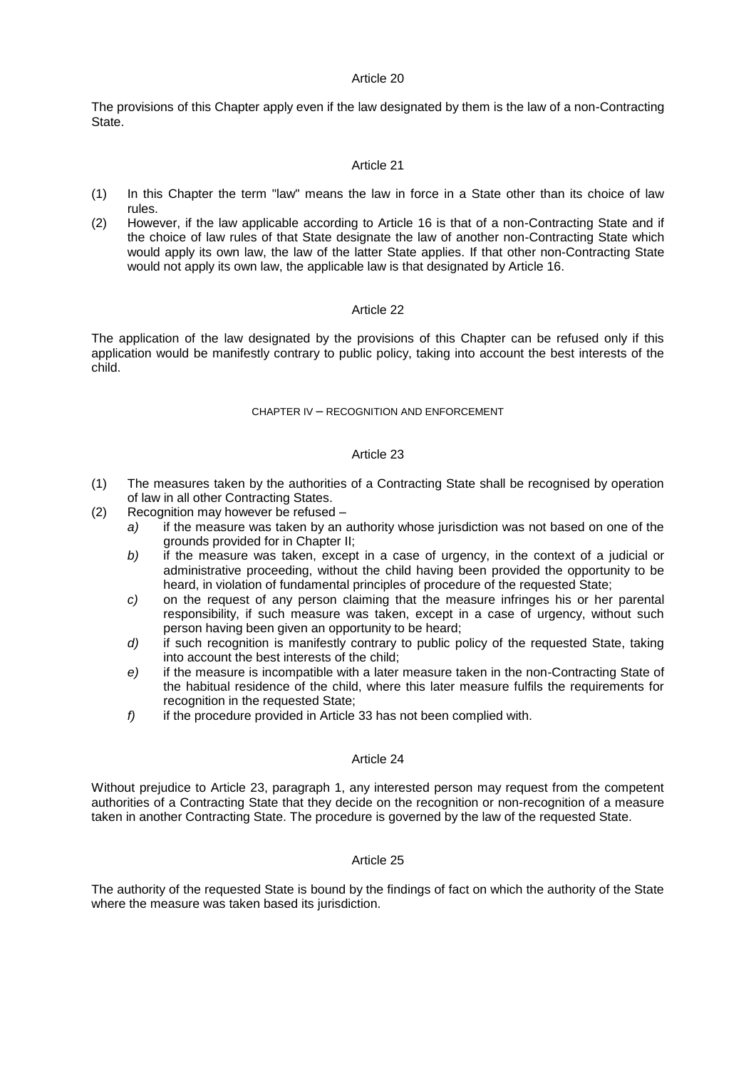The provisions of this Chapter apply even if the law designated by them is the law of a non-Contracting State.

# Article 21

- (1) In this Chapter the term "law" means the law in force in a State other than its choice of law rules.
- (2) However, if the law applicable according to Article 16 is that of a non-Contracting State and if the choice of law rules of that State designate the law of another non-Contracting State which would apply its own law, the law of the latter State applies. If that other non-Contracting State would not apply its own law, the applicable law is that designated by Article 16.

## Article 22

The application of the law designated by the provisions of this Chapter can be refused only if this application would be manifestly contrary to public policy, taking into account the best interests of the child.

## CHAPTER IV – RECOGNITION AND ENFORCEMENT

# Article 23

- (1) The measures taken by the authorities of a Contracting State shall be recognised by operation of law in all other Contracting States.
- (2) Recognition may however be refused
	- *a)* if the measure was taken by an authority whose jurisdiction was not based on one of the grounds provided for in Chapter II;
	- *b)* if the measure was taken, except in a case of urgency, in the context of a judicial or administrative proceeding, without the child having been provided the opportunity to be heard, in violation of fundamental principles of procedure of the requested State;
	- *c)* on the request of any person claiming that the measure infringes his or her parental responsibility, if such measure was taken, except in a case of urgency, without such person having been given an opportunity to be heard;
	- *d)* if such recognition is manifestly contrary to public policy of the requested State, taking into account the best interests of the child;
	- *e)* if the measure is incompatible with a later measure taken in the non-Contracting State of the habitual residence of the child, where this later measure fulfils the requirements for recognition in the requested State;
	- *f)* if the procedure provided in Article 33 has not been complied with.

# Article 24

Without prejudice to Article 23, paragraph 1, any interested person may request from the competent authorities of a Contracting State that they decide on the recognition or non-recognition of a measure taken in another Contracting State. The procedure is governed by the law of the requested State.

## Article 25

The authority of the requested State is bound by the findings of fact on which the authority of the State where the measure was taken based its jurisdiction.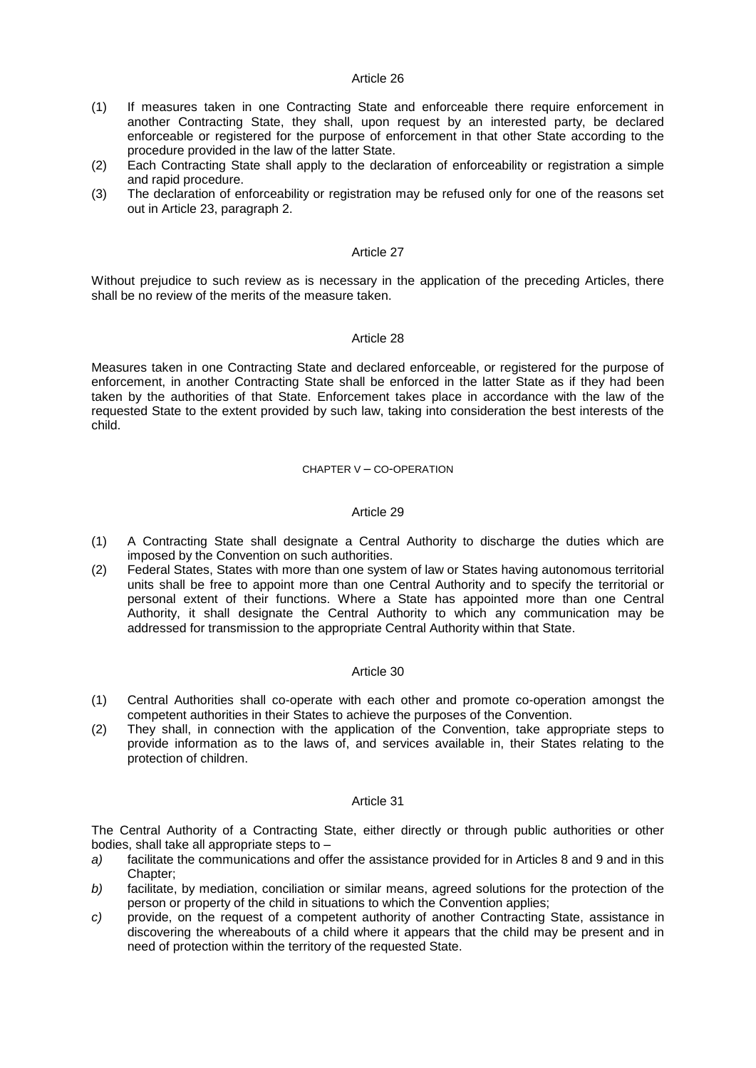- (1) If measures taken in one Contracting State and enforceable there require enforcement in another Contracting State, they shall, upon request by an interested party, be declared enforceable or registered for the purpose of enforcement in that other State according to the procedure provided in the law of the latter State.
- (2) Each Contracting State shall apply to the declaration of enforceability or registration a simple and rapid procedure.
- (3) The declaration of enforceability or registration may be refused only for one of the reasons set out in Article 23, paragraph 2.

### Article 27

Without prejudice to such review as is necessary in the application of the preceding Articles, there shall be no review of the merits of the measure taken.

#### Article 28

Measures taken in one Contracting State and declared enforceable, or registered for the purpose of enforcement, in another Contracting State shall be enforced in the latter State as if they had been taken by the authorities of that State. Enforcement takes place in accordance with the law of the requested State to the extent provided by such law, taking into consideration the best interests of the child.

#### CHAPTER V – CO-OPERATION

## Article 29

- (1) A Contracting State shall designate a Central Authority to discharge the duties which are imposed by the Convention on such authorities.
- (2) Federal States, States with more than one system of law or States having autonomous territorial units shall be free to appoint more than one Central Authority and to specify the territorial or personal extent of their functions. Where a State has appointed more than one Central Authority, it shall designate the Central Authority to which any communication may be addressed for transmission to the appropriate Central Authority within that State.

#### Article 30

- (1) Central Authorities shall co-operate with each other and promote co-operation amongst the competent authorities in their States to achieve the purposes of the Convention.
- (2) They shall, in connection with the application of the Convention, take appropriate steps to provide information as to the laws of, and services available in, their States relating to the protection of children.

#### Article 31

The Central Authority of a Contracting State, either directly or through public authorities or other bodies, shall take all appropriate steps to –

- *a)* facilitate the communications and offer the assistance provided for in Articles 8 and 9 and in this Chapter;
- *b)* facilitate, by mediation, conciliation or similar means, agreed solutions for the protection of the person or property of the child in situations to which the Convention applies;
- *c)* provide, on the request of a competent authority of another Contracting State, assistance in discovering the whereabouts of a child where it appears that the child may be present and in need of protection within the territory of the requested State.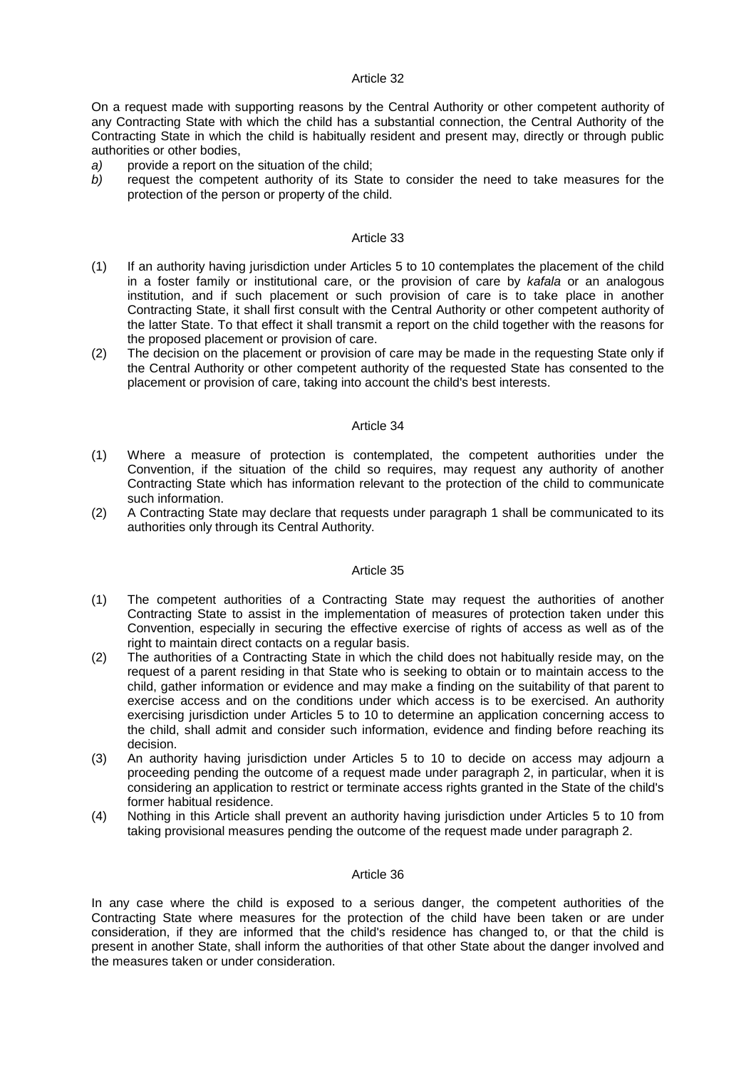On a request made with supporting reasons by the Central Authority or other competent authority of any Contracting State with which the child has a substantial connection, the Central Authority of the Contracting State in which the child is habitually resident and present may, directly or through public authorities or other bodies,

- *a)* provide a report on the situation of the child;
- *b)* request the competent authority of its State to consider the need to take measures for the protection of the person or property of the child.

### Article 33

- (1) If an authority having jurisdiction under Articles 5 to 10 contemplates the placement of the child in a foster family or institutional care, or the provision of care by *kafala* or an analogous institution, and if such placement or such provision of care is to take place in another Contracting State, it shall first consult with the Central Authority or other competent authority of the latter State. To that effect it shall transmit a report on the child together with the reasons for the proposed placement or provision of care.
- (2) The decision on the placement or provision of care may be made in the requesting State only if the Central Authority or other competent authority of the requested State has consented to the placement or provision of care, taking into account the child's best interests.

### Article 34

- (1) Where a measure of protection is contemplated, the competent authorities under the Convention, if the situation of the child so requires, may request any authority of another Contracting State which has information relevant to the protection of the child to communicate such information.
- (2) A Contracting State may declare that requests under paragraph 1 shall be communicated to its authorities only through its Central Authority.

#### Article 35

- (1) The competent authorities of a Contracting State may request the authorities of another Contracting State to assist in the implementation of measures of protection taken under this Convention, especially in securing the effective exercise of rights of access as well as of the right to maintain direct contacts on a regular basis.
- (2) The authorities of a Contracting State in which the child does not habitually reside may, on the request of a parent residing in that State who is seeking to obtain or to maintain access to the child, gather information or evidence and may make a finding on the suitability of that parent to exercise access and on the conditions under which access is to be exercised. An authority exercising jurisdiction under Articles 5 to 10 to determine an application concerning access to the child, shall admit and consider such information, evidence and finding before reaching its decision.
- (3) An authority having jurisdiction under Articles 5 to 10 to decide on access may adjourn a proceeding pending the outcome of a request made under paragraph 2, in particular, when it is considering an application to restrict or terminate access rights granted in the State of the child's former habitual residence.
- (4) Nothing in this Article shall prevent an authority having jurisdiction under Articles 5 to 10 from taking provisional measures pending the outcome of the request made under paragraph 2.

#### Article 36

In any case where the child is exposed to a serious danger, the competent authorities of the Contracting State where measures for the protection of the child have been taken or are under consideration, if they are informed that the child's residence has changed to, or that the child is present in another State, shall inform the authorities of that other State about the danger involved and the measures taken or under consideration.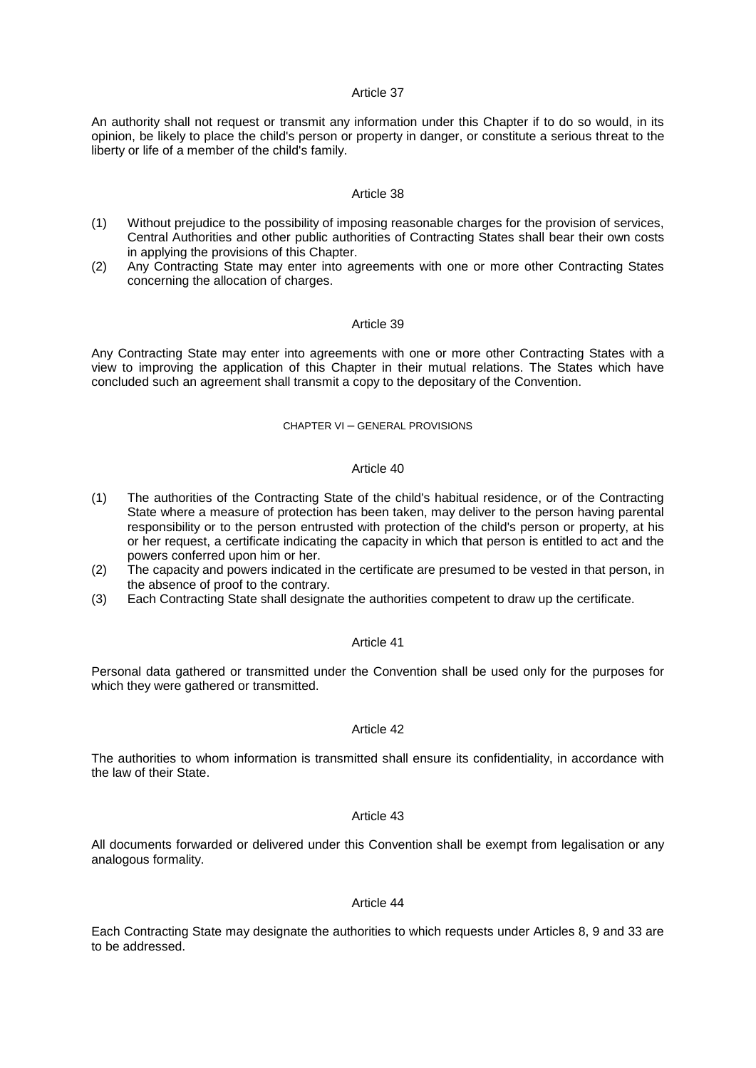An authority shall not request or transmit any information under this Chapter if to do so would, in its opinion, be likely to place the child's person or property in danger, or constitute a serious threat to the liberty or life of a member of the child's family.

## Article 38

- (1) Without prejudice to the possibility of imposing reasonable charges for the provision of services, Central Authorities and other public authorities of Contracting States shall bear their own costs in applying the provisions of this Chapter.
- (2) Any Contracting State may enter into agreements with one or more other Contracting States concerning the allocation of charges.

## Article 39

Any Contracting State may enter into agreements with one or more other Contracting States with a view to improving the application of this Chapter in their mutual relations. The States which have concluded such an agreement shall transmit a copy to the depositary of the Convention.

### CHAPTER VI – GENERAL PROVISIONS

# Article 40

- (1) The authorities of the Contracting State of the child's habitual residence, or of the Contracting State where a measure of protection has been taken, may deliver to the person having parental responsibility or to the person entrusted with protection of the child's person or property, at his or her request, a certificate indicating the capacity in which that person is entitled to act and the powers conferred upon him or her.
- (2) The capacity and powers indicated in the certificate are presumed to be vested in that person, in the absence of proof to the contrary.
- (3) Each Contracting State shall designate the authorities competent to draw up the certificate.

## Article 41

Personal data gathered or transmitted under the Convention shall be used only for the purposes for which they were gathered or transmitted.

## Article 42

The authorities to whom information is transmitted shall ensure its confidentiality, in accordance with the law of their State.

## Article 43

All documents forwarded or delivered under this Convention shall be exempt from legalisation or any analogous formality.

## Article 44

Each Contracting State may designate the authorities to which requests under Articles 8, 9 and 33 are to be addressed.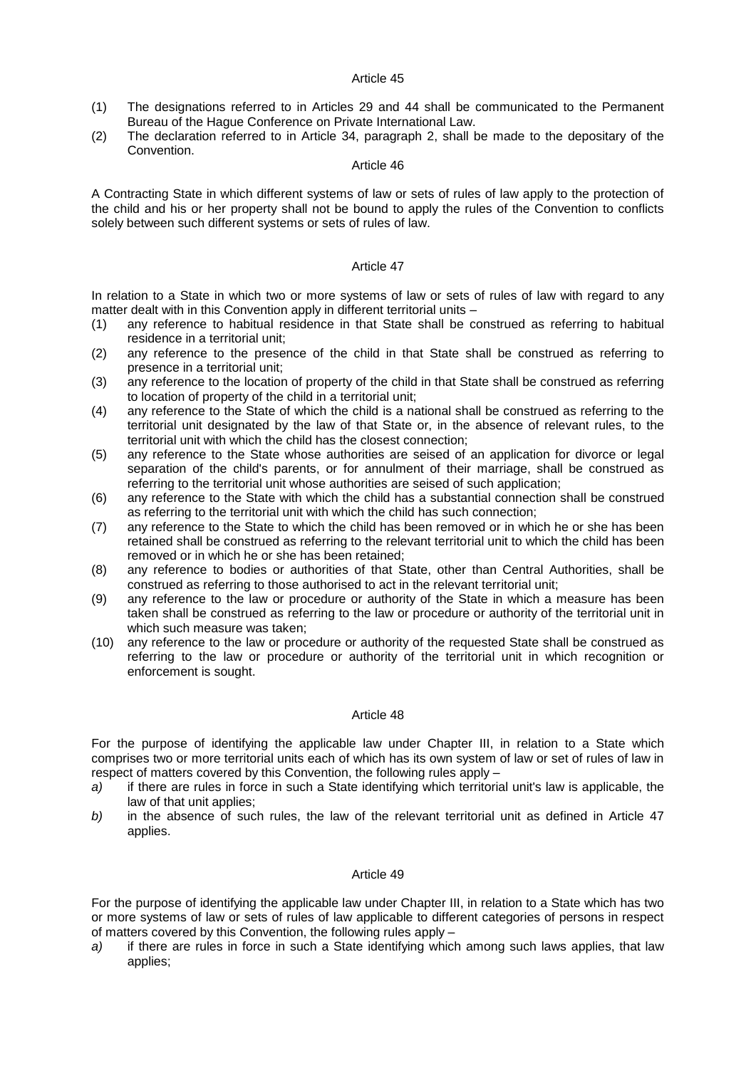- (1) The designations referred to in Articles 29 and 44 shall be communicated to the Permanent Bureau of the Hague Conference on Private International Law.
- (2) The declaration referred to in Article 34, paragraph 2, shall be made to the depositary of the Convention.

### Article 46

A Contracting State in which different systems of law or sets of rules of law apply to the protection of the child and his or her property shall not be bound to apply the rules of the Convention to conflicts solely between such different systems or sets of rules of law.

### Article 47

In relation to a State in which two or more systems of law or sets of rules of law with regard to any matter dealt with in this Convention apply in different territorial units –

- (1) any reference to habitual residence in that State shall be construed as referring to habitual residence in a territorial unit;
- (2) any reference to the presence of the child in that State shall be construed as referring to presence in a territorial unit;
- (3) any reference to the location of property of the child in that State shall be construed as referring to location of property of the child in a territorial unit;
- (4) any reference to the State of which the child is a national shall be construed as referring to the territorial unit designated by the law of that State or, in the absence of relevant rules, to the territorial unit with which the child has the closest connection;
- (5) any reference to the State whose authorities are seised of an application for divorce or legal separation of the child's parents, or for annulment of their marriage, shall be construed as referring to the territorial unit whose authorities are seised of such application;
- (6) any reference to the State with which the child has a substantial connection shall be construed as referring to the territorial unit with which the child has such connection;
- (7) any reference to the State to which the child has been removed or in which he or she has been retained shall be construed as referring to the relevant territorial unit to which the child has been removed or in which he or she has been retained;
- (8) any reference to bodies or authorities of that State, other than Central Authorities, shall be construed as referring to those authorised to act in the relevant territorial unit;
- (9) any reference to the law or procedure or authority of the State in which a measure has been taken shall be construed as referring to the law or procedure or authority of the territorial unit in which such measure was taken;
- (10) any reference to the law or procedure or authority of the requested State shall be construed as referring to the law or procedure or authority of the territorial unit in which recognition or enforcement is sought.

## Article 48

For the purpose of identifying the applicable law under Chapter III, in relation to a State which comprises two or more territorial units each of which has its own system of law or set of rules of law in respect of matters covered by this Convention, the following rules apply –

- *a)* if there are rules in force in such a State identifying which territorial unit's law is applicable, the law of that unit applies;
- *b)* in the absence of such rules, the law of the relevant territorial unit as defined in Article 47 applies.

#### Article 49

For the purpose of identifying the applicable law under Chapter III, in relation to a State which has two or more systems of law or sets of rules of law applicable to different categories of persons in respect of matters covered by this Convention, the following rules apply –

*a)* if there are rules in force in such a State identifying which among such laws applies, that law applies;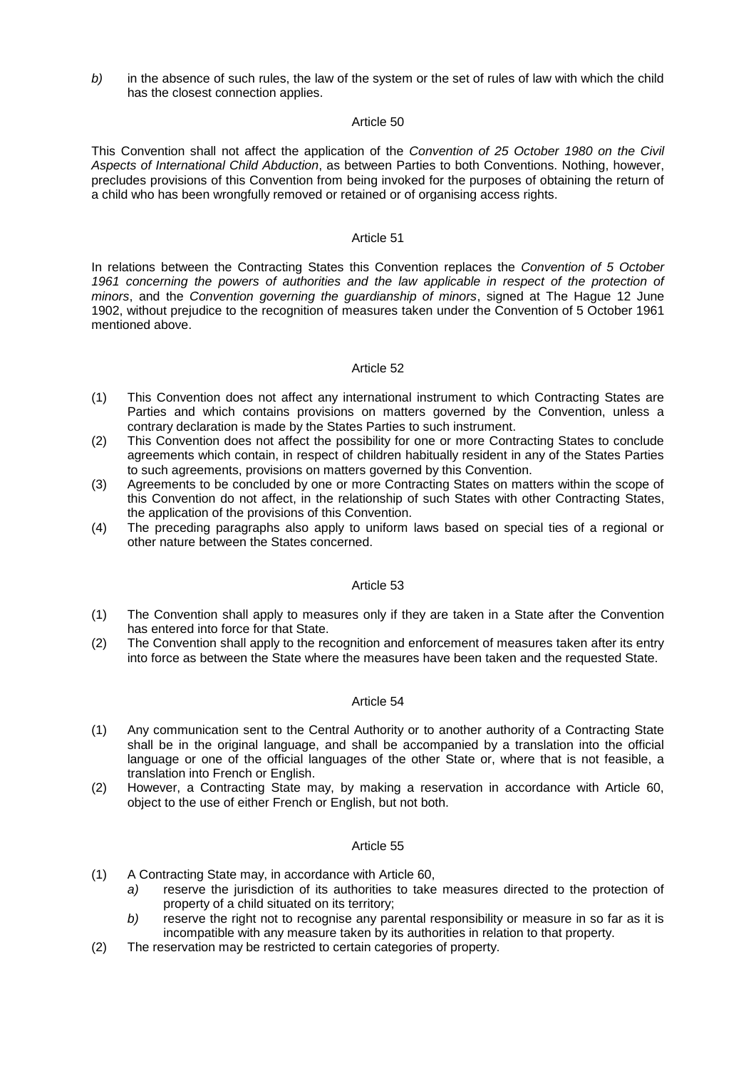*b)* in the absence of such rules, the law of the system or the set of rules of law with which the child has the closest connection applies.

# Article 50

This Convention shall not affect the application of the *Convention of 25 October 1980 on the Civil Aspects of International Child Abduction*, as between Parties to both Conventions. Nothing, however, precludes provisions of this Convention from being invoked for the purposes of obtaining the return of a child who has been wrongfully removed or retained or of organising access rights.

## Article 51

In relations between the Contracting States this Convention replaces the *Convention of 5 October*  1961 concerning the powers of authorities and the law applicable in respect of the protection of *minors*, and the *Convention governing the guardianship of minors*, signed at The Hague 12 June 1902, without prejudice to the recognition of measures taken under the Convention of 5 October 1961 mentioned above.

# Article 52

- (1) This Convention does not affect any international instrument to which Contracting States are Parties and which contains provisions on matters governed by the Convention, unless a contrary declaration is made by the States Parties to such instrument.
- (2) This Convention does not affect the possibility for one or more Contracting States to conclude agreements which contain, in respect of children habitually resident in any of the States Parties to such agreements, provisions on matters governed by this Convention.
- (3) Agreements to be concluded by one or more Contracting States on matters within the scope of this Convention do not affect, in the relationship of such States with other Contracting States, the application of the provisions of this Convention.
- (4) The preceding paragraphs also apply to uniform laws based on special ties of a regional or other nature between the States concerned.

## Article 53

- (1) The Convention shall apply to measures only if they are taken in a State after the Convention has entered into force for that State.
- (2) The Convention shall apply to the recognition and enforcement of measures taken after its entry into force as between the State where the measures have been taken and the requested State.

## Article 54

- (1) Any communication sent to the Central Authority or to another authority of a Contracting State shall be in the original language, and shall be accompanied by a translation into the official language or one of the official languages of the other State or, where that is not feasible, a translation into French or English.
- (2) However, a Contracting State may, by making a reservation in accordance with Article 60, object to the use of either French or English, but not both.

- (1) A Contracting State may, in accordance with Article 60,
	- *a)* reserve the jurisdiction of its authorities to take measures directed to the protection of property of a child situated on its territory;
	- *b)* reserve the right not to recognise any parental responsibility or measure in so far as it is incompatible with any measure taken by its authorities in relation to that property.
- (2) The reservation may be restricted to certain categories of property.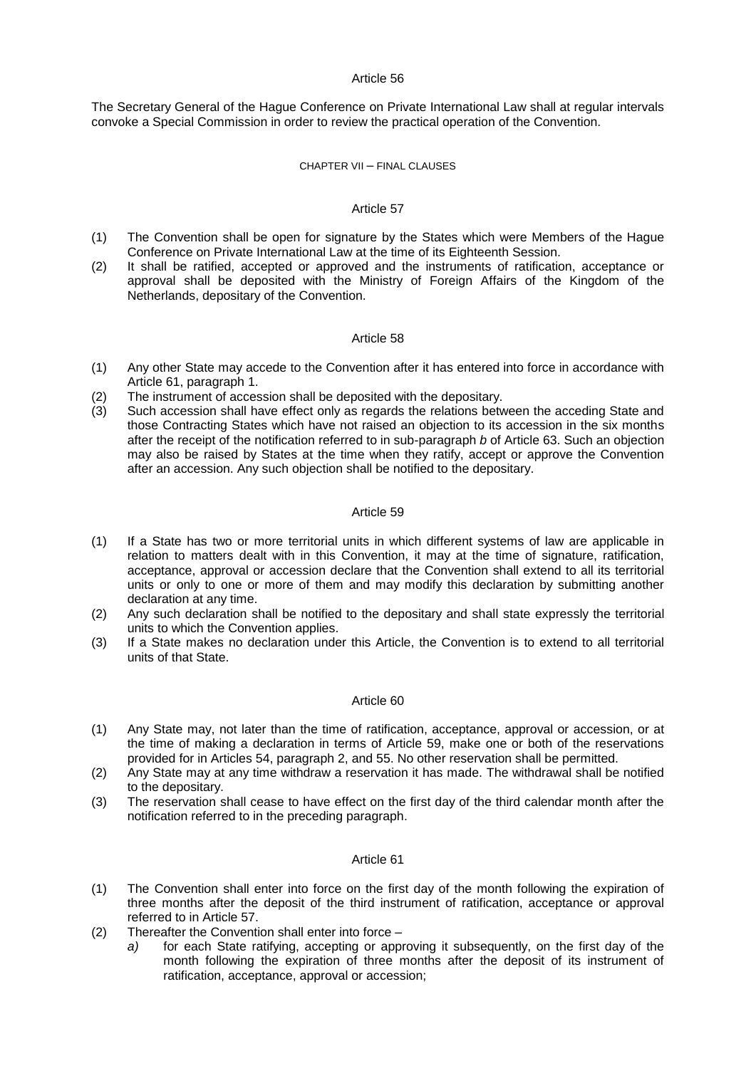The Secretary General of the Hague Conference on Private International Law shall at regular intervals convoke a Special Commission in order to review the practical operation of the Convention.

## CHAPTER VII – FINAL CLAUSES

## Article 57

- (1) The Convention shall be open for signature by the States which were Members of the Hague Conference on Private International Law at the time of its Eighteenth Session.
- (2) It shall be ratified, accepted or approved and the instruments of ratification, acceptance or approval shall be deposited with the Ministry of Foreign Affairs of the Kingdom of the Netherlands, depositary of the Convention.

#### Article 58

- (1) Any other State may accede to the Convention after it has entered into force in accordance with Article 61, paragraph 1.
- (2) The instrument of accession shall be deposited with the depositary.
- (3) Such accession shall have effect only as regards the relations between the acceding State and those Contracting States which have not raised an objection to its accession in the six months after the receipt of the notification referred to in sub-paragraph *b* of Article 63. Such an objection may also be raised by States at the time when they ratify, accept or approve the Convention after an accession. Any such objection shall be notified to the depositary.

#### Article 59

- (1) If a State has two or more territorial units in which different systems of law are applicable in relation to matters dealt with in this Convention, it may at the time of signature, ratification, acceptance, approval or accession declare that the Convention shall extend to all its territorial units or only to one or more of them and may modify this declaration by submitting another declaration at any time.
- (2) Any such declaration shall be notified to the depositary and shall state expressly the territorial units to which the Convention applies.
- (3) If a State makes no declaration under this Article, the Convention is to extend to all territorial units of that State.

## Article 60

- (1) Any State may, not later than the time of ratification, acceptance, approval or accession, or at the time of making a declaration in terms of Article 59, make one or both of the reservations provided for in Articles 54, paragraph 2, and 55. No other reservation shall be permitted.
- (2) Any State may at any time withdraw a reservation it has made. The withdrawal shall be notified to the depositary.
- (3) The reservation shall cease to have effect on the first day of the third calendar month after the notification referred to in the preceding paragraph.

- (1) The Convention shall enter into force on the first day of the month following the expiration of three months after the deposit of the third instrument of ratification, acceptance or approval referred to in Article 57.
- (2) Thereafter the Convention shall enter into force
	- *a)* for each State ratifying, accepting or approving it subsequently, on the first day of the month following the expiration of three months after the deposit of its instrument of ratification, acceptance, approval or accession;